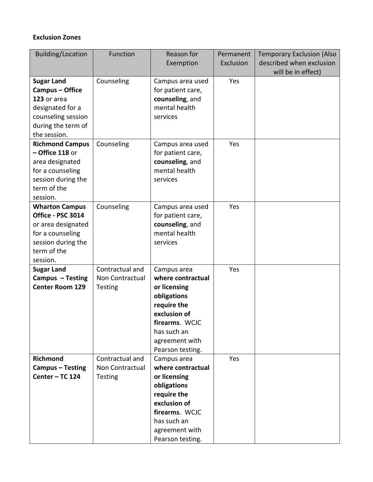## **Exclusion Zones**

| <b>Building/Location</b> | Function        | Reason for        | Permanent | <b>Temporary Exclusion (Also</b> |
|--------------------------|-----------------|-------------------|-----------|----------------------------------|
|                          |                 | Exemption         | Exclusion | described when exclusion         |
|                          |                 |                   |           | will be in effect)               |
| <b>Sugar Land</b>        | Counseling      | Campus area used  | Yes       |                                  |
| Campus - Office          |                 | for patient care, |           |                                  |
| 123 or area              |                 | counseling, and   |           |                                  |
| designated for a         |                 | mental health     |           |                                  |
| counseling session       |                 | services          |           |                                  |
| during the term of       |                 |                   |           |                                  |
| the session.             |                 |                   |           |                                  |
| <b>Richmond Campus</b>   | Counseling      | Campus area used  | Yes       |                                  |
| $-$ Office 118 or        |                 | for patient care, |           |                                  |
| area designated          |                 | counseling, and   |           |                                  |
| for a counseling         |                 | mental health     |           |                                  |
| session during the       |                 | services          |           |                                  |
| term of the              |                 |                   |           |                                  |
| session.                 |                 |                   |           |                                  |
| <b>Wharton Campus</b>    | Counseling      | Campus area used  | Yes       |                                  |
| Office - PSC 3014        |                 | for patient care, |           |                                  |
| or area designated       |                 | counseling, and   |           |                                  |
| for a counseling         |                 | mental health     |           |                                  |
| session during the       |                 | services          |           |                                  |
| term of the              |                 |                   |           |                                  |
| session.                 |                 |                   |           |                                  |
| <b>Sugar Land</b>        | Contractual and | Campus area       | Yes       |                                  |
| Campus - Testing         | Non Contractual | where contractual |           |                                  |
| <b>Center Room 129</b>   | <b>Testing</b>  | or licensing      |           |                                  |
|                          |                 | obligations       |           |                                  |
|                          |                 | require the       |           |                                  |
|                          |                 | exclusion of      |           |                                  |
|                          |                 | firearms. WCJC    |           |                                  |
|                          |                 | has such an       |           |                                  |
|                          |                 | agreement with    |           |                                  |
|                          |                 | Pearson testing.  |           |                                  |
| <b>Richmond</b>          | Contractual and | Campus area       | Yes       |                                  |
| Campus - Testing         | Non Contractual | where contractual |           |                                  |
| Center - TC 124          | <b>Testing</b>  | or licensing      |           |                                  |
|                          |                 | obligations       |           |                                  |
|                          |                 | require the       |           |                                  |
|                          |                 | exclusion of      |           |                                  |
|                          |                 | firearms. WCJC    |           |                                  |
|                          |                 | has such an       |           |                                  |
|                          |                 | agreement with    |           |                                  |
|                          |                 | Pearson testing.  |           |                                  |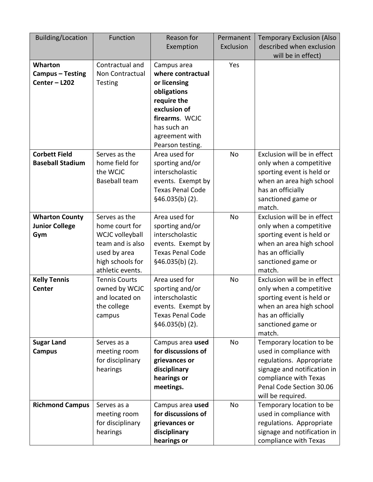| <b>Building/Location</b>                              | Function                                                                                                                       | Reason for<br>Exemption                                                                                                                                               | Permanent<br>Exclusion | <b>Temporary Exclusion (Also</b><br>described when exclusion<br>will be in effect)                                                                                                       |
|-------------------------------------------------------|--------------------------------------------------------------------------------------------------------------------------------|-----------------------------------------------------------------------------------------------------------------------------------------------------------------------|------------------------|------------------------------------------------------------------------------------------------------------------------------------------------------------------------------------------|
| Wharton<br>Campus - Testing<br>Center - L202          | Contractual and<br>Non Contractual<br><b>Testing</b>                                                                           | Campus area<br>where contractual<br>or licensing<br>obligations<br>require the<br>exclusion of<br>firearms. WCJC<br>has such an<br>agreement with<br>Pearson testing. | Yes                    |                                                                                                                                                                                          |
| <b>Corbett Field</b><br><b>Baseball Stadium</b>       | Serves as the<br>home field for<br>the WCJC<br><b>Baseball team</b>                                                            | Area used for<br>sporting and/or<br>interscholastic<br>events. Exempt by<br><b>Texas Penal Code</b><br>\$46.035(b) (2).                                               | No                     | Exclusion will be in effect<br>only when a competitive<br>sporting event is held or<br>when an area high school<br>has an officially<br>sanctioned game or<br>match.                     |
| <b>Wharton County</b><br><b>Junior College</b><br>Gym | Serves as the<br>home court for<br>WCJC volleyball<br>team and is also<br>used by area<br>high schools for<br>athletic events. | Area used for<br>sporting and/or<br>interscholastic<br>events. Exempt by<br><b>Texas Penal Code</b><br>\$46.035(b) (2).                                               | No                     | Exclusion will be in effect<br>only when a competitive<br>sporting event is held or<br>when an area high school<br>has an officially<br>sanctioned game or<br>match.                     |
| <b>Kelly Tennis</b><br><b>Center</b>                  | <b>Tennis Courts</b><br>owned by WCJC<br>and located on<br>the college<br>campus                                               | Area used for<br>sporting and/or<br>interscholastic<br>events. Exempt by<br><b>Texas Penal Code</b><br>$§46.035(b)$ (2).                                              | No                     | Exclusion will be in effect<br>only when a competitive<br>sporting event is held or<br>when an area high school<br>has an officially<br>sanctioned game or<br>match.                     |
| <b>Sugar Land</b><br><b>Campus</b>                    | Serves as a<br>meeting room<br>for disciplinary<br>hearings                                                                    | Campus area used<br>for discussions of<br>grievances or<br>disciplinary<br>hearings or<br>meetings.                                                                   | No                     | Temporary location to be<br>used in compliance with<br>regulations. Appropriate<br>signage and notification in<br>compliance with Texas<br>Penal Code Section 30.06<br>will be required. |
| <b>Richmond Campus</b>                                | Serves as a<br>meeting room<br>for disciplinary<br>hearings                                                                    | Campus area used<br>for discussions of<br>grievances or<br>disciplinary<br>hearings or                                                                                | No                     | Temporary location to be<br>used in compliance with<br>regulations. Appropriate<br>signage and notification in<br>compliance with Texas                                                  |